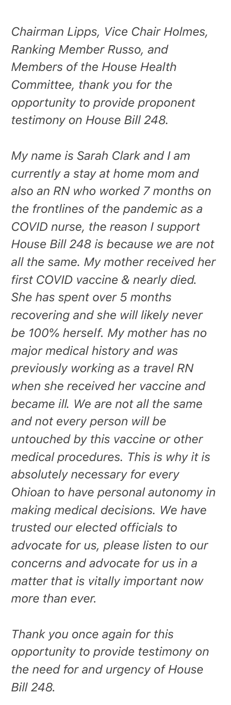*Chairman Lipps, Vice Chair Holmes, Ranking Member Russo, and Members of the House Health Committee, thank you for the opportunity to provide proponent testimony on House Bill 248.*

*My name is Sarah Clark and I am currently a stay at home mom and also an RN who worked 7 months on the frontlines of the pandemic as a COVID nurse, the reason I support House Bill 248 is because we are not all the same. My mother received her first COVID vaccine & nearly died. She has spent over 5 months recovering and she will likely never be 100% herself. My mother has no major medical history and was previously working as a travel RN when she received her vaccine and became ill. We are not all the same and not every person will be untouched by this vaccine or other medical procedures. This is why it is absolutely necessary for every Ohioan to have personal autonomy in making medical decisions. We have trusted our elected officials to advocate for us, please listen to our concerns and advocate for us in a matter that is vitally important now more than ever.*

*Thank you once again for this opportunity to provide testimony on the need for and urgency of House Bill 248.*